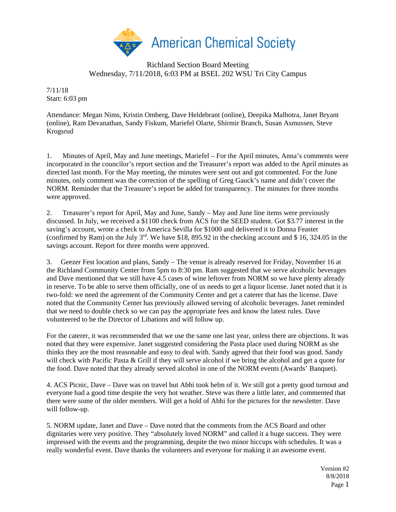

## Richland Section Board Meeting Wednesday, 7/11/2018, 6:03 PM at BSEL 202 WSU Tri City Campus

7/11/18 Start: 6:03 pm

Attendance: Megan Nims, Kristin Omberg, Dave Heldebrant (online), Deepika Malhotra, Janet Bryant (online), Ram Devanathan, Sandy Fiskum, Mariefel Olarte, Shirmir Branch, Susan Asmussen, Steve Krogsrud

1. Minutes of April, May and June meetings, Mariefel – For the April minutes, Anna's comments were incorporated in the councilor's report section and the Treasurer's report was added to the April minutes as directed last month. For the May meeting, the minutes were sent out and got commented. For the June minutes, only comment was the correction of the spelling of Greg Gauck's name and didn't cover the NORM. Reminder that the Treasurer's report be added for transparency. The minutes for three months were approved.

2. Treasurer's report for April, May and June, Sandy – May and June line items were previously discussed. In July, we received a \$1100 check from ACS for the SEED student. Got \$3.77 interest in the saving's account, wrote a check to America Sevilla for \$1000 and delivered it to Donna Feaster (confirmed by Ram) on the July  $3<sup>rd</sup>$ . We have \$18, 895.92 in the checking account and \$ 16, 324.05 in the savings account. Report for three months were approved.

3. Geezer Fest location and plans, Sandy – The venue is already reserved for Friday, November 16 at the Richland Community Center from 5pm to 8:30 pm. Ram suggested that we serve alcoholic beverages and Dave mentioned that we still have 4.5 cases of wine leftover from NORM so we have plenty already in reserve. To be able to serve them officially, one of us needs to get a liquor license. Janet noted that it is two-fold: we need the agreement of the Community Center and get a caterer that has the license. Dave noted that the Community Center has previously allowed serving of alcoholic beverages. Janet reminded that we need to double check so we can pay the appropriate fees and know the latest rules. Dave volunteered to be the Director of Libations and will follow up.

For the caterer, it was recommended that we use the same one last year, unless there are objections. It was noted that they were expensive. Janet suggested considering the Pasta place used during NORM as she thinks they are the most reasonable and easy to deal with. Sandy agreed that their food was good. Sandy will check with Pacific Pasta & Grill if they will serve alcohol if we bring the alcohol and get a quote for the food. Dave noted that they already served alcohol in one of the NORM events (Awards' Banquet).

4. ACS Picnic, Dave – Dave was on travel but Abhi took helm of it. We still got a pretty good turnout and everyone had a good time despite the very hot weather. Steve was there a little later, and commented that there were some of the older members. Will get a hold of Abhi for the pictures for the newsletter. Dave will follow-up.

5. NORM update, Janet and Dave – Dave noted that the comments from the ACS Board and other dignitaries were very positive. They "absolutely loved NORM" and called it a huge success. They were impressed with the events and the programming, despite the two minor hiccups with schedules. It was a really wonderful event. Dave thanks the volunteers and everyone for making it an awesome event.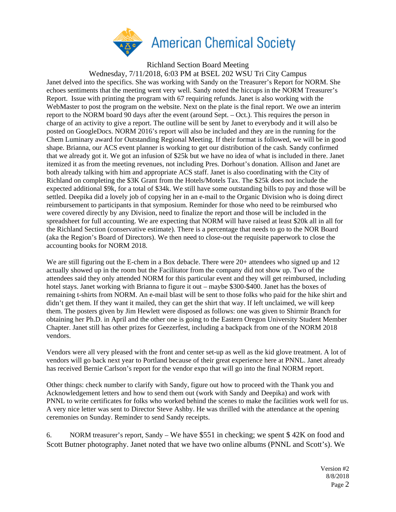

Wednesday, 7/11/2018, 6:03 PM at BSEL 202 WSU Tri City Campus Janet delved into the specifics. She was working with Sandy on the Treasurer's Report for NORM. She echoes sentiments that the meeting went very well. Sandy noted the hiccups in the NORM Treasurer's Report. Issue with printing the program with 67 requiring refunds. Janet is also working with the WebMaster to post the program on the website. Next on the plate is the final report. We owe an interim report to the NORM board 90 days after the event (around Sept. – Oct.). This requires the person in charge of an activity to give a report. The outline will be sent by Janet to everybody and it will also be posted on GoogleDocs. NORM 2016's report will also be included and they are in the running for the Chem Luminary award for Outstanding Regional Meeting. If their format is followed, we will be in good shape. Brianna, our ACS event planner is working to get our distribution of the cash. Sandy confirmed that we already got it. We got an infusion of \$25k but we have no idea of what is included in there. Janet itemized it as from the meeting revenues, not including Pres. Dorhout's donation. Allison and Janet are both already talking with him and appropriate ACS staff. Janet is also coordinating with the City of Richland on completing the \$3K Grant from the Hotels/Motels Tax. The \$25k does not include the expected additional \$9k, for a total of \$34k. We still have some outstanding bills to pay and those will be settled. Deepika did a lovely job of copying her in an e-mail to the Organic Division who is doing direct reimbursement to participants in that symposium. Reminder for those who need to be reimbursed who were covered directly by any Division, need to finalize the report and those will be included in the spreadsheet for full accounting. We are expecting that NORM will have raised at least \$20k all in all for the Richland Section (conservative estimate). There is a percentage that needs to go to the NOR Board (aka the Region's Board of Directors). We then need to close-out the requisite paperwork to close the accounting books for NORM 2018.

We are still figuring out the E-chem in a Box debacle. There were 20+ attendees who signed up and 12 actually showed up in the room but the Facilitator from the company did not show up. Two of the attendees said they only attended NORM for this particular event and they will get reimbursed, including hotel stays. Janet working with Brianna to figure it out – maybe \$300-\$400. Janet has the boxes of remaining t-shirts from NORM. An e-mail blast will be sent to those folks who paid for the hike shirt and didn't get them. If they want it mailed, they can get the shirt that way. If left unclaimed, we will keep them. The posters given by Jim Hewlett were disposed as follows: one was given to Shirmir Branch for obtaining her Ph.D. in April and the other one is going to the Eastern Oregon University Student Member Chapter. Janet still has other prizes for Geezerfest, including a backpack from one of the NORM 2018 vendors.

Vendors were all very pleased with the front and center set-up as well as the kid glove treatment. A lot of vendors will go back next year to Portland because of their great experience here at PNNL. Janet already has received Bernie Carlson's report for the vendor expo that will go into the final NORM report.

Other things: check number to clarify with Sandy, figure out how to proceed with the Thank you and Acknowledgement letters and how to send them out (work with Sandy and Deepika) and work with PNNL to write certificates for folks who worked behind the scenes to make the facilities work well for us. A very nice letter was sent to Director Steve Ashby. He was thrilled with the attendance at the opening ceremonies on Sunday. Reminder to send Sandy receipts.

6. NORM treasurer's report, Sandy – We have \$551 in checking; we spent \$ 42K on food and Scott Butner photography. Janet noted that we have two online albums (PNNL and Scott's). We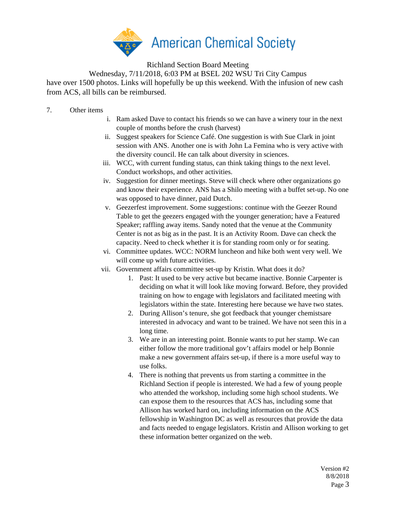

Wednesday, 7/11/2018, 6:03 PM at BSEL 202 WSU Tri City Campus have over 1500 photos. Links will hopefully be up this weekend. With the infusion of new cash from ACS, all bills can be reimbursed.

- 7. Other items
- i. Ram asked Dave to contact his friends so we can have a winery tour in the next couple of months before the crush (harvest)
- ii. Suggest speakers for Science Café. One suggestion is with Sue Clark in joint session with ANS. Another one is with John La Femina who is very active with the diversity council. He can talk about diversity in sciences.
- iii. WCC, with current funding status, can think taking things to the next level. Conduct workshops, and other activities.
- iv. Suggestion for dinner meetings. Steve will check where other organizations go and know their experience. ANS has a Shilo meeting with a buffet set-up. No one was opposed to have dinner, paid Dutch.
- v. Geezerfest improvement. Some suggestions: continue with the Geezer Round Table to get the geezers engaged with the younger generation; have a Featured Speaker; raffling away items. Sandy noted that the venue at the Community Center is not as big as in the past. It is an Activity Room. Dave can check the capacity. Need to check whether it is for standing room only or for seating.
- vi. Committee updates. WCC: NORM luncheon and hike both went very well. We will come up with future activities.
- vii. Government affairs committee set-up by Kristin. What does it do?
	- 1. Past: It used to be very active but became inactive. Bonnie Carpenter is deciding on what it will look like moving forward. Before, they provided training on how to engage with legislators and facilitated meeting with legislators within the state. Interesting here because we have two states.
	- 2. During Allison's tenure, she got feedback that younger chemistsare interested in advocacy and want to be trained. We have not seen this in a long time.
	- 3. We are in an interesting point. Bonnie wants to put her stamp. We can either follow the more traditional gov't affairs model or help Bonnie make a new government affairs set-up, if there is a more useful way to use folks.
	- 4. There is nothing that prevents us from starting a committee in the Richland Section if people is interested. We had a few of young people who attended the workshop, including some high school students. We can expose them to the resources that ACS has, including some that Allison has worked hard on, including information on the ACS fellowship in Washington DC as well as resources that provide the data and facts needed to engage legislators. Kristin and Allison working to get these information better organized on the web.

Version #2 8/8/2018 Page 3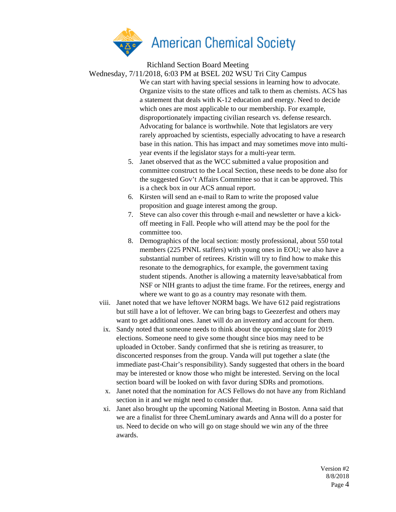

Wednesday, 7/11/2018, 6:03 PM at BSEL 202 WSU Tri City Campus

- We can start with having special sessions in learning how to advocate. Organize visits to the state offices and talk to them as chemists. ACS has a statement that deals with K-12 education and energy. Need to decide which ones are most applicable to our membership. For example, disproportionately impacting civilian research vs. defense research. Advocating for balance is worthwhile. Note that legislators are very rarely approached by scientists, especially advocating to have a research base in this nation. This has impact and may sometimes move into multiyear events if the legislator stays for a multi-year term.
	- 5. Janet observed that as the WCC submitted a value proposition and committee construct to the Local Section, these needs to be done also for the suggested Gov't Affairs Committee so that it can be approved. This is a check box in our ACS annual report.
	- 6. Kirsten will send an e-mail to Ram to write the proposed value proposition and guage interest among the group.
	- 7. Steve can also cover this through e-mail and newsletter or have a kickoff meeting in Fall. People who will attend may be the pool for the committee too.
	- 8. Demographics of the local section: mostly professional, about 550 total members (225 PNNL staffers) with young ones in EOU; we also have a substantial number of retirees. Kristin will try to find how to make this resonate to the demographics, for example, the government taxing student stipends. Another is allowing a maternity leave/sabbatical from NSF or NIH grants to adjust the time frame. For the retirees, energy and where we want to go as a country may resonate with them.
- viii. Janet noted that we have leftover NORM bags. We have 612 paid registrations but still have a lot of leftover. We can bring bags to Geezerfest and others may want to get additional ones. Janet will do an inventory and account for them.
- ix. Sandy noted that someone needs to think about the upcoming slate for 2019 elections. Someone need to give some thought since bios may need to be uploaded in October. Sandy confirmed that she is retiring as treasurer, to disconcerted responses from the group. Vanda will put together a slate (the immediate past-Chair's responsibility). Sandy suggested that others in the board may be interested or know those who might be interested. Serving on the local section board will be looked on with favor during SDRs and promotions.
- x. Janet noted that the nomination for ACS Fellows do not have any from Richland section in it and we might need to consider that.
- xi. Janet also brought up the upcoming National Meeting in Boston. Anna said that we are a finalist for three ChemLuminary awards and Anna will do a poster for us. Need to decide on who will go on stage should we win any of the three awards.

Version #2 8/8/2018 Page 4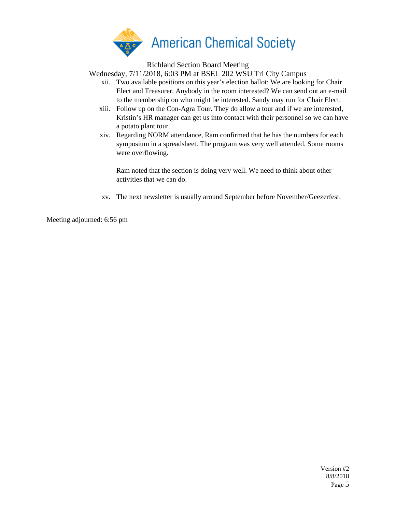

Wednesday, 7/11/2018, 6:03 PM at BSEL 202 WSU Tri City Campus

- xii. Two available positions on this year's election ballot: We are looking for Chair Elect and Treasurer. Anybody in the room interested? We can send out an e-mail to the membership on who might be interested. Sandy may run for Chair Elect.
- xiii. Follow up on the Con-Agra Tour. They do allow a tour and if we are interested, Kristin's HR manager can get us into contact with their personnel so we can have a potato plant tour.
- xiv. Regarding NORM attendance, Ram confirmed that he has the numbers for each symposium in a spreadsheet. The program was very well attended. Some rooms were overflowing.

Ram noted that the section is doing very well. We need to think about other activities that we can do.

xv. The next newsletter is usually around September before November/Geezerfest.

Meeting adjourned: 6:56 pm